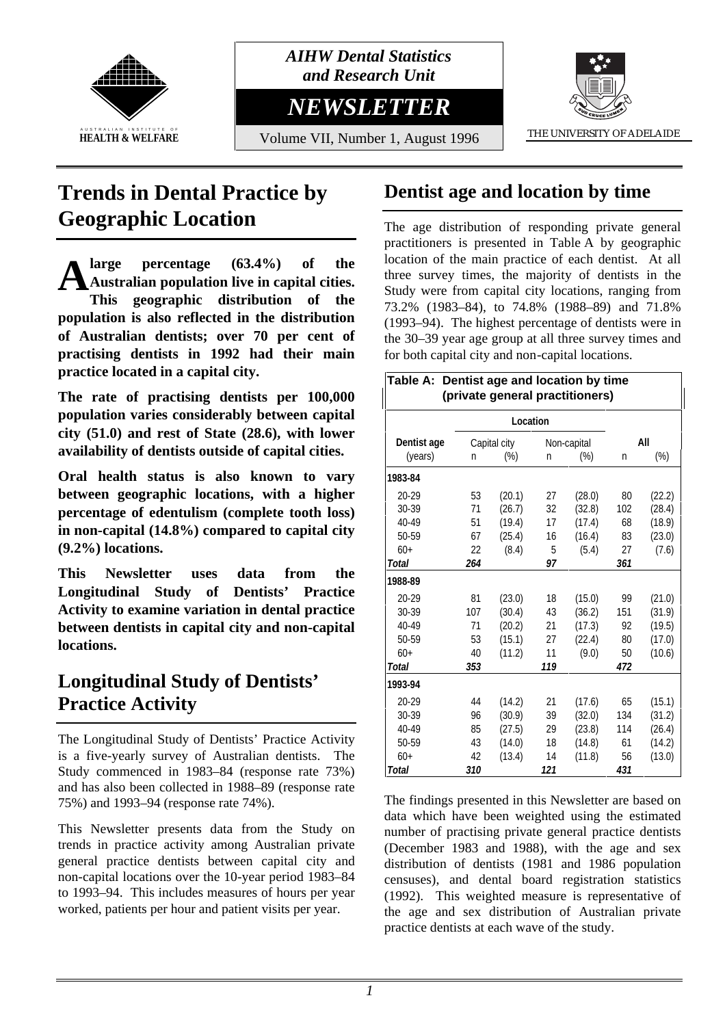

*AIHW Dental Statistics and Research Unit*

*NEWSLETTER*

Volume VII, Number 1, August 1996 THE UNIVERSITY OF ADELAIDE



# **Trends in Dental Practice by Geographic Location**

**large percentage (63.4%) of the Australian population live in capital cities. This geographic distribution of the population is also reflected in the distribution of Australian dentists; over 70 per cent of practising dentists in 1992 had their main practice located in a capital city. A**

**The rate of practising dentists per 100,000 population varies considerably between capital city (51.0) and rest of State (28.6), with lower availability of dentists outside of capital cities.**

**Oral health status is also known to vary between geographic locations, with a higher percentage of edentulism (complete tooth loss) in non-capital (14.8%) compared to capital city (9.2%) locations.**

**This Newsletter uses data from the Longitudinal Study of Dentists' Practice Activity to examine variation in dental practice between dentists in capital city and non-capital locations.**

# **Longitudinal Study of Dentists' Practice Activity**

The Longitudinal Study of Dentists' Practice Activity is a five-yearly survey of Australian dentists. The Study commenced in 1983–84 (response rate 73%) and has also been collected in 1988–89 (response rate 75%) and 1993–94 (response rate 74%).

This Newsletter presents data from the Study on trends in practice activity among Australian private general practice dentists between capital city and non-capital locations over the 10-year period 1983–84 to 1993–94. This includes measures of hours per year worked, patients per hour and patient visits per year.

# **Dentist age and location by time**

The age distribution of responding private general practitioners is presented in Table A by geographic location of the main practice of each dentist. At all three survey times, the majority of dentists in the Study were from capital city locations, ranging from 73.2% (1983–84), to 74.8% (1988–89) and 71.8% (1993–94). The highest percentage of dentists were in the 30–39 year age group at all three survey times and for both capital city and non-capital locations.

| Table A: Dentist age and location by time<br>(private general practitioners) |     |              |     |             |     |        |
|------------------------------------------------------------------------------|-----|--------------|-----|-------------|-----|--------|
| Location                                                                     |     |              |     |             |     |        |
| Dentist age                                                                  |     | Capital city |     | Non-capital |     | All    |
| (years)                                                                      | n   | $(\%)$       | n   | $(\%)$      | n   | $(\%)$ |
| 1983-84                                                                      |     |              |     |             |     |        |
| 20-29                                                                        | 53  | (20.1)       | 27  | (28.0)      | 80  | (22.2) |
| 30-39                                                                        | 71  | (26.7)       | 32  | (32.8)      | 102 | (28.4) |
| 40-49                                                                        | 51  | (19.4)       | 17  | (17.4)      | 68  | (18.9) |
| 50-59                                                                        | 67  | (25.4)       | 16  | (16.4)      | 83  | (23.0) |
| $60+$                                                                        | 22  | (8.4)        | 5   | (5.4)       | 27  | (7.6)  |
| Total                                                                        | 264 |              | 97  |             | 361 |        |
| 1988-89                                                                      |     |              |     |             |     |        |
| 20-29                                                                        | 81  | (23.0)       | 18  | (15.0)      | 99  | (21.0) |
| 30-39                                                                        | 107 | (30.4)       | 43  | (36.2)      | 151 | (31.9) |
| 40-49                                                                        | 71  | (20.2)       | 21  | (17.3)      | 92  | (19.5) |
| 50-59                                                                        | 53  | (15.1)       | 27  | (22.4)      | 80  | (17.0) |
| $60+$                                                                        | 40  | (11.2)       | 11  | (9.0)       | 50  | (10.6) |
| <b>Total</b>                                                                 | 353 |              | 119 |             | 472 |        |
| 1993-94                                                                      |     |              |     |             |     |        |
| $20 - 29$                                                                    | 44  | (14.2)       | 21  | (17.6)      | 65  | (15.1) |
| 30-39                                                                        | 96  | (30.9)       | 39  | (32.0)      | 134 | (31.2) |
| 40-49                                                                        | 85  | (27.5)       | 29  | (23.8)      | 114 | (26.4) |
| 50-59                                                                        | 43  | (14.0)       | 18  | (14.8)      | 61  | (14.2) |
| $60+$                                                                        | 42  | (13.4)       | 14  | (11.8)      | 56  | (13.0) |
| <b>Total</b>                                                                 | 310 |              | 121 |             | 431 |        |

The findings presented in this Newsletter are based on data which have been weighted using the estimated number of practising private general practice dentists (December 1983 and 1988), with the age and sex distribution of dentists (1981 and 1986 population censuses), and dental board registration statistics (1992). This weighted measure is representative of the age and sex distribution of Australian private practice dentists at each wave of the study.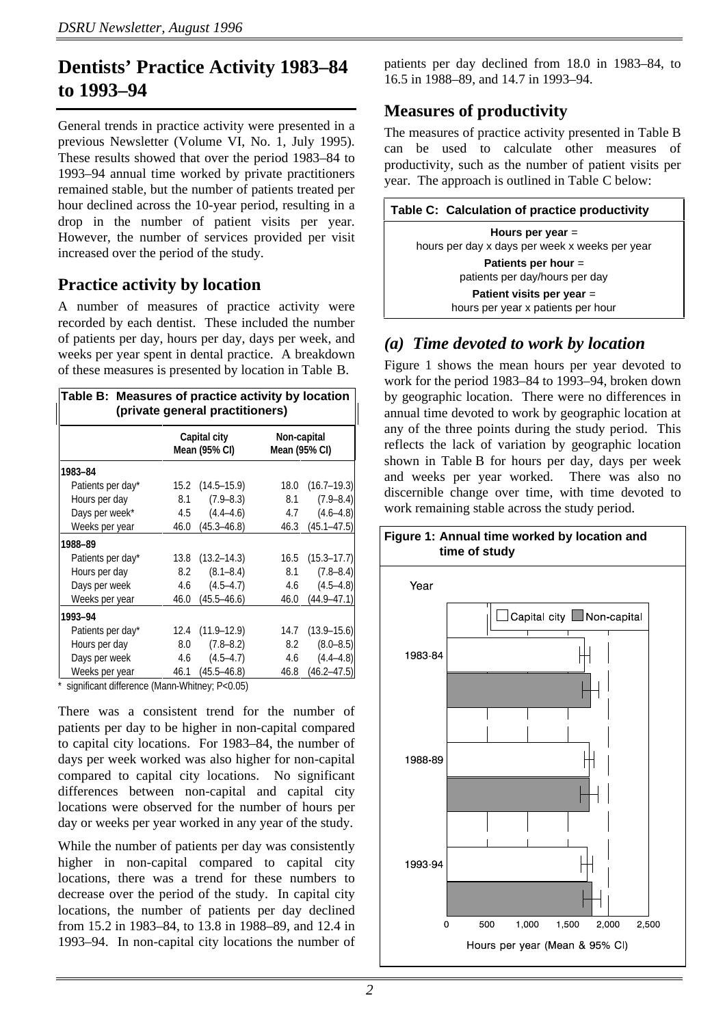## **Dentists' Practice Activity 1983–84 to 1993–94**

General trends in practice activity were presented in a previous Newsletter (Volume VI, No. 1, July 1995). These results showed that over the period 1983–84 to 1993–94 annual time worked by private practitioners remained stable, but the number of patients treated per hour declined across the 10-year period, resulting in a drop in the number of patient visits per year. However, the number of services provided per visit increased over the period of the study.

#### **Practice activity by location**

A number of measures of practice activity were recorded by each dentist. These included the number of patients per day, hours per day, days per week, and weeks per year spent in dental practice. A breakdown of these measures is presented by location in Table B.

| Table B: Measures of practice activity by location<br>(private general practitioners) |      |                               |                              |                 |  |  |
|---------------------------------------------------------------------------------------|------|-------------------------------|------------------------------|-----------------|--|--|
|                                                                                       |      | Capital city<br>Mean (95% CI) | Non-capital<br>Mean (95% CI) |                 |  |  |
| 1983-84                                                                               |      |                               |                              |                 |  |  |
| Patients per day*                                                                     |      | $15.2$ $(14.5-15.9)$          | 18.0                         | $(16.7 - 19.3)$ |  |  |
| Hours per day                                                                         | 8.1  | $(7.9 - 8.3)$                 | 8.1                          | $(7.9 - 8.4)$   |  |  |
| Days per week*                                                                        |      | $4.5$ $(4.4-4.6)$             | 4.7                          | $(4.6 - 4.8)$   |  |  |
| Weeks per year                                                                        |      | 46.0 (45.3–46.8)              | 46.3                         | $(45.1 - 47.5)$ |  |  |
| 1988-89                                                                               |      |                               |                              |                 |  |  |
| Patients per day*                                                                     |      | $13.8$ $(13.2 - 14.3)$        | 16.5                         | $(15.3 - 17.7)$ |  |  |
| Hours per day                                                                         | 8.2  | $(8.1 - 8.4)$                 | 8.1                          | $(7.8 - 8.4)$   |  |  |
| Days per week                                                                         |      | $4.6$ $(4.5-4.7)$             | 4.6                          | $(4.5 - 4.8)$   |  |  |
| Weeks per year                                                                        | 46.0 | $(45.5 - 46.6)$               | 46.0                         | $(44.9 - 47.1)$ |  |  |
| 1993-94                                                                               |      |                               |                              |                 |  |  |
| Patients per day*                                                                     |      | $12.4$ $(11.9-12.9)$          | 14.7                         | $(13.9 - 15.6)$ |  |  |
| Hours per day                                                                         | 8.0  | $(7.8 - 8.2)$                 | 8.2                          | $(8.0 - 8.5)$   |  |  |
| Days per week                                                                         | 4.6  | $(4.5 - 4.7)$                 | 4.6                          | $(4.4 - 4.8)$   |  |  |
| Weeks per year                                                                        |      | 46.1 (45.5–46.8)              | 46.8                         | $(46.2 - 47.5)$ |  |  |

significant difference (Mann-Whitney; P<0.05)

There was a consistent trend for the number of patients per day to be higher in non-capital compared to capital city locations. For 1983–84, the number of days per week worked was also higher for non-capital compared to capital city locations. No significant differences between non-capital and capital city locations were observed for the number of hours per day or weeks per year worked in any year of the study.

While the number of patients per day was consistently higher in non-capital compared to capital city locations, there was a trend for these numbers to decrease over the period of the study. In capital city locations, the number of patients per day declined from 15.2 in 1983–84, to 13.8 in 1988–89, and 12.4 in 1993–94. In non-capital city locations the number of patients per day declined from 18.0 in 1983–84, to 16.5 in 1988–89, and 14.7 in 1993–94.

### **Measures of productivity**

The measures of practice activity presented in Table B can be used to calculate other measures of productivity, such as the number of patient visits per year. The approach is outlined in Table C below:

| Table C: Calculation of practice productivity                        |  |
|----------------------------------------------------------------------|--|
| Hours per year $=$<br>hours per day x days per week x weeks per year |  |
| Patients per hour $=$<br>patients per day/hours per day              |  |
| Patient visits per year $=$<br>hours per year x patients per hour    |  |

## *(a) Time devoted to work by location*

Figure 1 shows the mean hours per year devoted to work for the period 1983–84 to 1993–94, broken down by geographic location. There were no differences in annual time devoted to work by geographic location at any of the three points during the study period. This reflects the lack of variation by geographic location shown in Table B for hours per day, days per week and weeks per year worked. There was also no discernible change over time, with time devoted to work remaining stable across the study period.

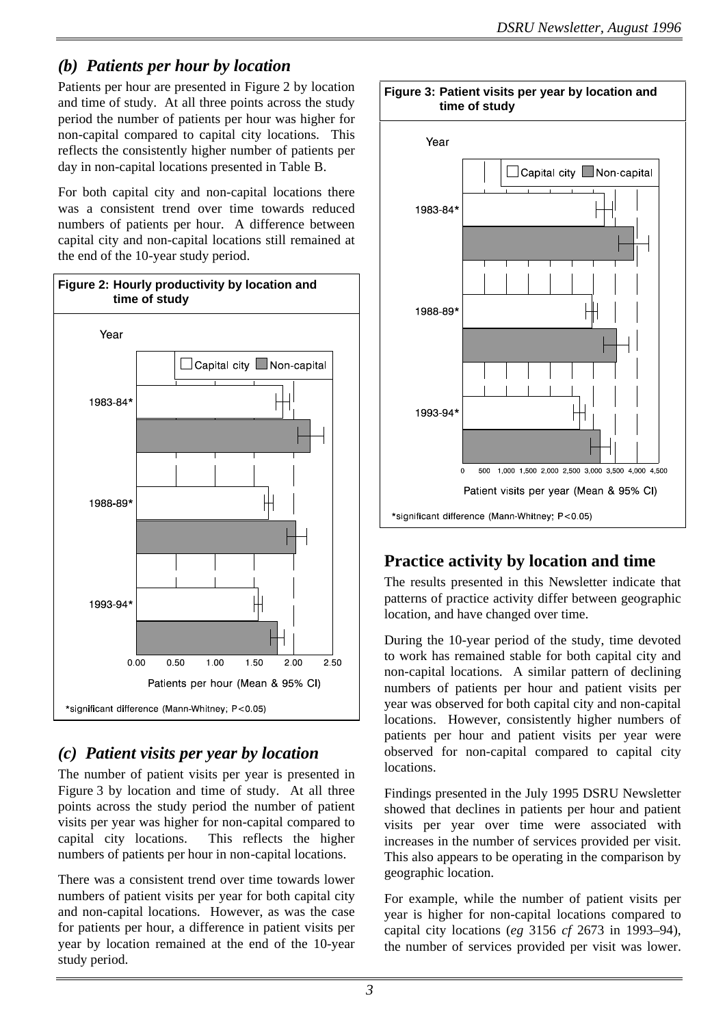### *(b) Patients per hour by location*

Patients per hour are presented in Figure 2 by location and time of study. At all three points across the study period the number of patients per hour was higher for non-capital compared to capital city locations. This reflects the consistently higher number of patients per day in non-capital locations presented in Table B.

For both capital city and non-capital locations there was a consistent trend over time towards reduced numbers of patients per hour. A difference between capital city and non-capital locations still remained at the end of the 10-year study period.



### *(c) Patient visits per year by location*

The number of patient visits per year is presented in Figure 3 by location and time of study. At all three points across the study period the number of patient visits per year was higher for non-capital compared to capital city locations. This reflects the higher numbers of patients per hour in non-capital locations.

There was a consistent trend over time towards lower numbers of patient visits per year for both capital city and non-capital locations. However, as was the case for patients per hour, a difference in patient visits per year by location remained at the end of the 10-year study period.



## **Practice activity by location and time**

The results presented in this Newsletter indicate that patterns of practice activity differ between geographic location, and have changed over time.

During the 10-year period of the study, time devoted to work has remained stable for both capital city and non-capital locations. A similar pattern of declining numbers of patients per hour and patient visits per year was observed for both capital city and non-capital locations. However, consistently higher numbers of patients per hour and patient visits per year were observed for non-capital compared to capital city locations.

Findings presented in the July 1995 DSRU Newsletter showed that declines in patients per hour and patient visits per year over time were associated with increases in the number of services provided per visit. This also appears to be operating in the comparison by geographic location.

For example, while the number of patient visits per year is higher for non-capital locations compared to capital city locations (*eg* 3156 *cf* 2673 in 1993–94), the number of services provided per visit was lower.